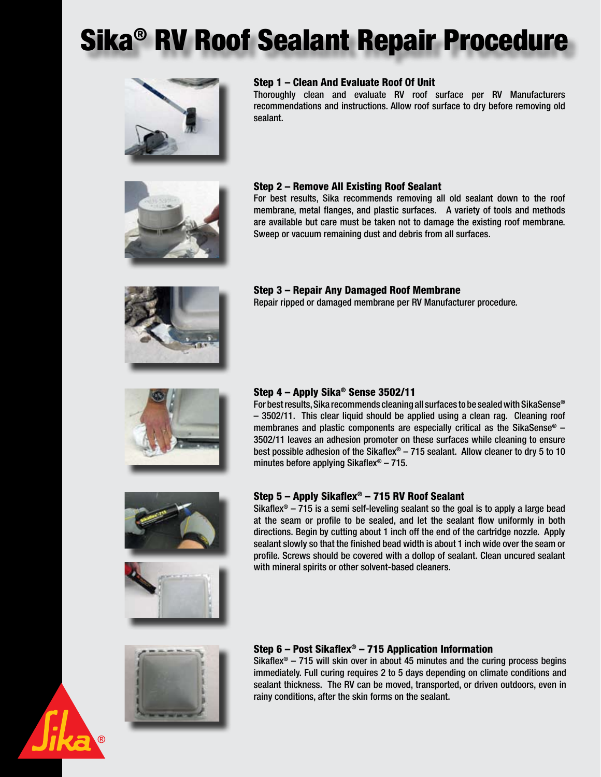# Sika® RV Roof Sealant Repair Procedure



### Step 1 – Clean And Evaluate Roof Of Unit

Thoroughly clean and evaluate RV roof surface per RV Manufacturers recommendations and instructions. Allow roof surface to dry before removing old sealant.



### Step 2 – Remove All Existing Roof Sealant

For best results, Sika recommends removing all old sealant down to the roof membrane, metal flanges, and plastic surfaces. A variety of tools and methods are available but care must be taken not to damage the existing roof membrane. Sweep or vacuum remaining dust and debris from all surfaces.



### Step 3 – Repair Any Damaged Roof Membrane

Repair ripped or damaged membrane per RV Manufacturer procedure.



### Step 4 – Apply Sika® Sense 3502/11

For best results, Sika recommends cleaning all surfaces to be sealed with SikaSense® – 3502/11. This clear liquid should be applied using a clean rag. Cleaning roof membranes and plastic components are especially critical as the SikaSense® – 3502/11 leaves an adhesion promoter on these surfaces while cleaning to ensure best possible adhesion of the Sikaflex® – 715 sealant. Allow cleaner to dry 5 to 10 minutes before applying Sikaflex® – 715.



## Step 5 – Apply Sikaflex® – 715 RV Roof Sealant

Sikaflex<sup>®</sup> – 715 is a semi self-leveling sealant so the goal is to apply a large bead at the seam or profile to be sealed, and let the sealant flow uniformly in both directions. Begin by cutting about 1 inch off the end of the cartridge nozzle. Apply sealant slowly so that the finished bead width is about 1 inch wide over the seam or profile. Screws should be covered with a dollop of sealant. Clean uncured sealant with mineral spirits or other solvent-based cleaners.



### Step 6 – Post Sikaflex® – 715 Application Information

Sikaflex<sup>®</sup> – 715 will skin over in about 45 minutes and the curing process begins immediately. Full curing requires 2 to 5 days depending on climate conditions and sealant thickness. The RV can be moved, transported, or driven outdoors, even in rainy conditions, after the skin forms on the sealant.